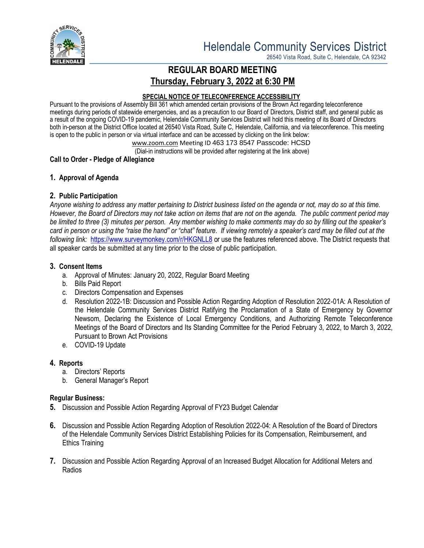

26540 Vista Road, Suite C, Helendale, CA 92342

# **REGULAR BOARD MEETING Thursday, February 3, 2022 at 6:30 PM**

#### **SPECIAL NOTICE OF TELECONFERENCE ACCESSIBILITY**

Pursuant to the provisions of Assembly Bill 361 which amended certain provisions of the Brown Act regarding teleconference meetings during periods of statewide emergencies, and as a precaution to our Board of Directors, District staff, and general public as a result of the ongoing COVID-19 pandemic, Helendale Community Services District will hold this meeting of its Board of Directors both in-person at the District Office located at 26540 Vista Road, Suite C, Helendale, California, and via teleconference. This meeting is open to the public in person or via virtual interface and can be accessed by clicking on the link below:

[www.zoom.com](http://www.zoom.com/) Meeting ID 463 173 8547 Passcode: HCSD

(Dial-in instructions will be provided after registering at the link above)

## **Call to Order - Pledge of Allegiance**

## **1. Approval of Agenda**

## **2. Public Participation**

*Anyone wishing to address any matter pertaining to District business listed on the agenda or not, may do so at this time. However, the Board of Directors may not take action on items that are not on the agenda. The public comment period may be limited to three (3) minutes per person. Any member wishing to make comments may do so by filling out the speaker's card in person or using the "raise the hand" or "chat" feature. If viewing remotely a speaker's card may be filled out at the following link:* <https://www.surveymonkey.com/r/HKGNLL8> or use the features referenced above. The District requests that all speaker cards be submitted at any time prior to the close of public participation.

## **3. Consent Items**

- a. Approval of Minutes: January 20, 2022, Regular Board Meeting
- b. Bills Paid Report
- c. Directors Compensation and Expenses
- d. Resolution 2022-1B: Discussion and Possible Action Regarding Adoption of Resolution 2022-01A: A Resolution of the Helendale Community Services District Ratifying the Proclamation of a State of Emergency by Governor Newsom, Declaring the Existence of Local Emergency Conditions, and Authorizing Remote Teleconference Meetings of the Board of Directors and Its Standing Committee for the Period February 3, 2022, to March 3, 2022, Pursuant to Brown Act Provisions
- e. COVID-19 Update

## **4. Reports**

- a. Directors' Reports
- b. General Manager's Report

## **Regular Business:**

- **5.** Discussion and Possible Action Regarding Approval of FY23 Budget Calendar
- **6.** Discussion and Possible Action Regarding Adoption of Resolution 2022-04: A Resolution of the Board of Directors of the Helendale Community Services District Establishing Policies for its Compensation, Reimbursement, and Ethics Training
- **7.** Discussion and Possible Action Regarding Approval of an Increased Budget Allocation for Additional Meters and Radios